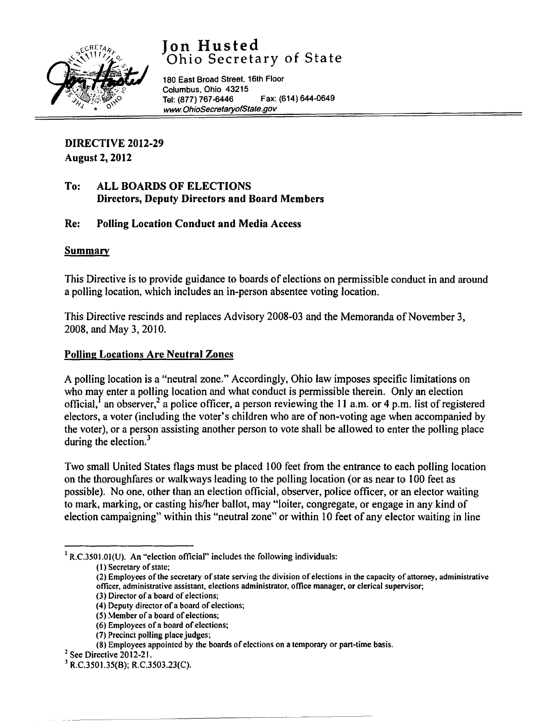# **Jon Husted**  Ohio Secretary of State



180 East Broad Street. 16th Floor Columbus, Ohio 43215 Tel: (877) 767-6446 Fax: (614) 644-0649 [www.OhioSecretaryofState.gov](http://www.OhioSecretaryofState.gov)

# DIRECTIVE 2012-29 August 2, 2012

#### To: ALL BOARDS OF ELECTIONS Directors, Deputy Directors and Board Members

# Re: Polling Location Conduct and Media Access

#### Summary

This Directive is to provide guidance to boards of elections on permissible conduct in and around a polling location, which includes an in-person absentee voting location.

This Directive rescinds and replaces Advisory 2008-03 and the Memoranda of November 3, 2008, and May 3, 2010.

# Polling Locations Are Neutral Zones

A polling location is a "neutral zone." Accordingly, Ohio law imposes specific limitations on who may enter a polling location and what conduct is permissible therein. Only an election official,  $\frac{1}{2}$  an observer,  $\frac{2}{3}$  a police officer, a person reviewing the 11 a.m. or 4 p.m. list of registered electors, a voter (including the voter's children who are of non-voting age when accompanied by the voter), or a person assisting another person to vote shall be allowed to enter the polling place during the election. $3$ 

Two small United States flags must be placed 100 feet from the entrance to each polling location on the thoroughfares or walkways leading to the polling location (or as near to 100 feet as possible). No one, other than an election official, observer, police officer, or an elector waiting to mark, marking, or casting his/her ballot, may "loiter, congregate, or engage in any kind of election campaigning" within this "neutral zone" or within 10 feet of any elector waiting in line

 $1$  R.C.3501.01(U). An "election official" includes the following individuals:

(2) Employees of the secretary of state serving the division of elections in the capacity of attorney, administrative officer, administrative assistant, elections administrator, office manager, or clerical supervisor;

(7) Precinct polling place judges;

<sup>(1)</sup> Secretary of state;

<sup>(3)</sup> Director of a board of elections;

<sup>(4)</sup> Deputy director of a board of elections;

<sup>(5)</sup> Member of a board of elections;

<sup>(6)</sup> Employees ofa board of elections;

<sup>(8)</sup> Employees appointed by the boards of elections on a temporary or part-time basis.

<sup>&</sup>lt;sup>2</sup> See Directive 2012-21.

<sup>3</sup> R.C.350 1.35(8); R.C.3503.23(C).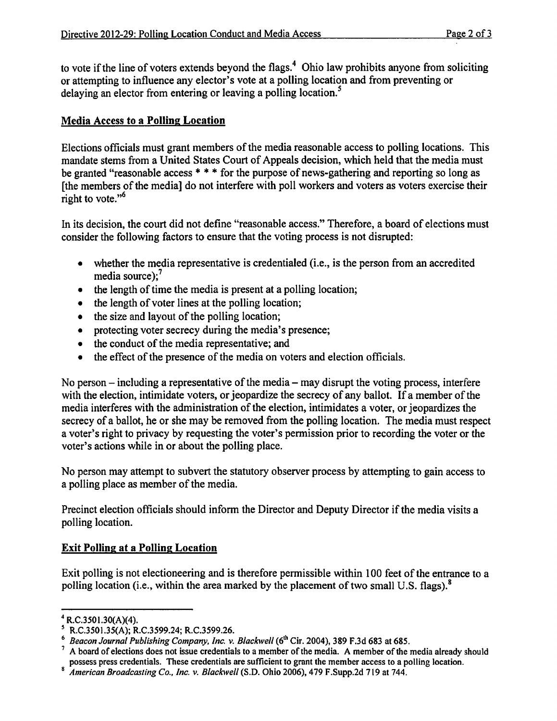to vote if the line of voters extends beyond the flags.<sup>4</sup> Ohio law prohibits anyone from soliciting or attempting to influence any elector's vote at a polling location and from preventing or delaying an elector from entering or leaving a polling location.<sup>5</sup>

#### Media Access to a Polling Location

Elections officials must grant members of the media reasonable access to polling locations. This mandate stems from a United States Court of Appeals decision, which held that the media must be granted "reasonable access \* \* \* for the purpose of news-gathering and reporting so long as [the members of the media] do not interfere with poll workers and voters as voters exercise their right to vote. $"$ <sup>6</sup>

In its decision, the court did not define "reasonable access." Therefore, a board of elections must consider the following factors to ensure that the voting process is not disrupted:

- whether the media representative is credentialed (i.e., is the person from an accredited media source); $<sup>7</sup>$ </sup>
- the length of time the media is present at a polling location;
- the length of voter lines at the polling location;
- the size and layout of the polling location;
- protecting voter secrecy during the media's presence;
- the conduct of the media representative; and
- the effect of the presence of the media on voters and election officials.

No person – including a representative of the media – may disrupt the voting process, interfere with the election, intimidate voters, or jeopardize the secrecy of any ballot. If a member of the media interferes with the administration of the election, intimidates a voter, or jeopardizes the secrecy of a ballot, he or she may be removed from the polling location. The media must respect a voter's right to privacy by requesting the voter's permission prior to recording the voter or the voter's actions while in or about the polling place.

No person may attempt to subvert the statutory observer process by attempting to gain access to a polling place as member of the media.

Precinct election officials should inform the Director and Deputy Director if the media visits a polling location.

#### Exit Polling at a Polling Location

Exit polling is not electioneering and is therefore permissible within 100 feet of the entrance to a polling location (i.e., within the area marked by the placement of two small U.S. flags). $8$ 

 $4$  R.C.3501.30(A)(4).

s R.C.3501.35(A); R.C.3599.24; R.C.3599.26.

<sup>&</sup>lt;sup>6</sup> Beacon Journal Publishing Company, Inc. v. Blackwell (6<sup>th</sup> Cir. 2004), 389 F.3d 683 at 685.

 $<sup>7</sup>$  A board of elections does not issue credentials to a member of the media. A member of the media already should</sup> possess press credentials. These credentials are sufficient to grant the member access to a polling location.

<sup>S</sup> *American Broadcasting Co., Inc. v. Blackwell* (S.D. Ohio 2006), 479 F.Supp.2d 719 at 744.